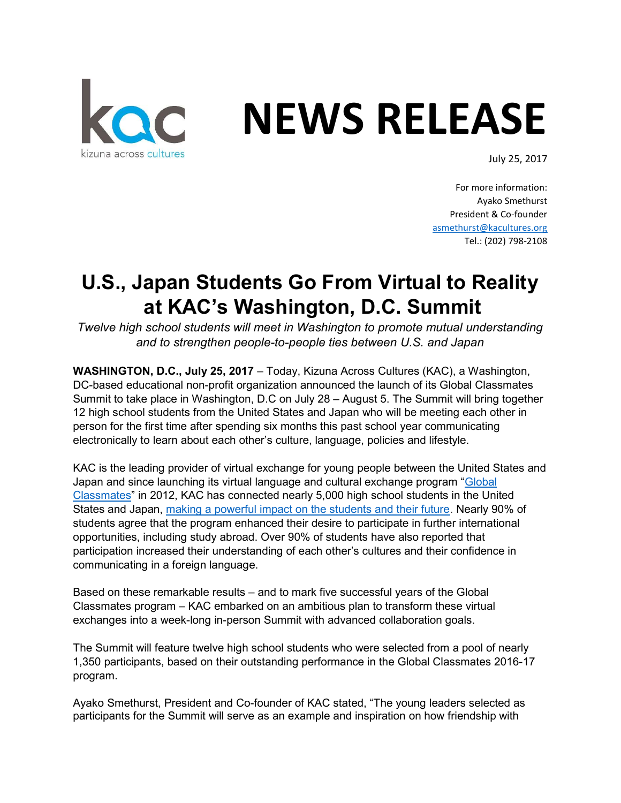

## NEWS RELEASE

July 25, 2017

For more information: Ayako Smethurst President & Co-founder asmethurst@kacultures.org Tel.: (202) 798-2108

## U.S., Japan Students Go From Virtual to Reality at KAC's Washington, D.C. Summit

Twelve high school students will meet in Washington to promote mutual understanding and to strengthen people-to-people ties between U.S. and Japan

WASHINGTON, D.C., July 25, 2017 – Today, Kizuna Across Cultures (KAC), a Washington, DC-based educational non-profit organization announced the launch of its Global Classmates Summit to take place in Washington, D.C on July 28 – August 5. The Summit will bring together 12 high school students from the United States and Japan who will be meeting each other in person for the first time after spending six months this past school year communicating electronically to learn about each other's culture, language, policies and lifestyle.

KAC is the leading provider of virtual exchange for young people between the United States and Japan and since launching its virtual language and cultural exchange program "Global Classmates" in 2012, KAC has connected nearly 5,000 high school students in the United States and Japan, making a powerful impact on the students and their future. Nearly 90% of students agree that the program enhanced their desire to participate in further international opportunities, including study abroad. Over 90% of students have also reported that participation increased their understanding of each other's cultures and their confidence in communicating in a foreign language.

Based on these remarkable results – and to mark five successful years of the Global Classmates program – KAC embarked on an ambitious plan to transform these virtual exchanges into a week-long in-person Summit with advanced collaboration goals.

The Summit will feature twelve high school students who were selected from a pool of nearly 1,350 participants, based on their outstanding performance in the Global Classmates 2016-17 program.

Ayako Smethurst, President and Co-founder of KAC stated, "The young leaders selected as participants for the Summit will serve as an example and inspiration on how friendship with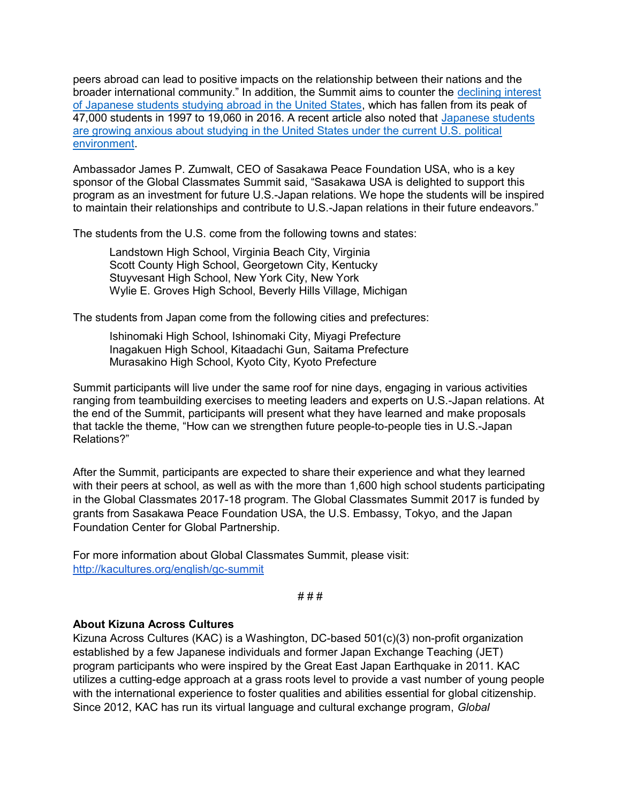peers abroad can lead to positive impacts on the relationship between their nations and the broader international community." In addition, the Summit aims to counter the declining interest of Japanese students studying abroad in the United States, which has fallen from its peak of 47,000 students in 1997 to 19,060 in 2016. A recent article also noted that Japanese students are growing anxious about studying in the United States under the current U.S. political environment.

Ambassador James P. Zumwalt, CEO of Sasakawa Peace Foundation USA, who is a key sponsor of the Global Classmates Summit said, "Sasakawa USA is delighted to support this program as an investment for future U.S.-Japan relations. We hope the students will be inspired to maintain their relationships and contribute to U.S.-Japan relations in their future endeavors."

The students from the U.S. come from the following towns and states:

Landstown High School, Virginia Beach City, Virginia Scott County High School, Georgetown City, Kentucky Stuyvesant High School, New York City, New York Wylie E. Groves High School, Beverly Hills Village, Michigan

The students from Japan come from the following cities and prefectures:

Ishinomaki High School, Ishinomaki City, Miyagi Prefecture Inagakuen High School, Kitaadachi Gun, Saitama Prefecture Murasakino High School, Kyoto City, Kyoto Prefecture

Summit participants will live under the same roof for nine days, engaging in various activities ranging from teambuilding exercises to meeting leaders and experts on U.S.-Japan relations. At the end of the Summit, participants will present what they have learned and make proposals that tackle the theme, "How can we strengthen future people-to-people ties in U.S.-Japan Relations?"

After the Summit, participants are expected to share their experience and what they learned with their peers at school, as well as with the more than 1,600 high school students participating in the Global Classmates 2017-18 program. The Global Classmates Summit 2017 is funded by grants from Sasakawa Peace Foundation USA, the U.S. Embassy, Tokyo, and the Japan Foundation Center for Global Partnership.

For more information about Global Classmates Summit, please visit: http://kacultures.org/english/gc-summit

```
# # #
```
## About Kizuna Across Cultures

Kizuna Across Cultures (KAC) is a Washington, DC-based 501(c)(3) non-profit organization established by a few Japanese individuals and former Japan Exchange Teaching (JET) program participants who were inspired by the Great East Japan Earthquake in 2011. KAC utilizes a cutting-edge approach at a grass roots level to provide a vast number of young people with the international experience to foster qualities and abilities essential for global citizenship. Since 2012, KAC has run its virtual language and cultural exchange program, Global